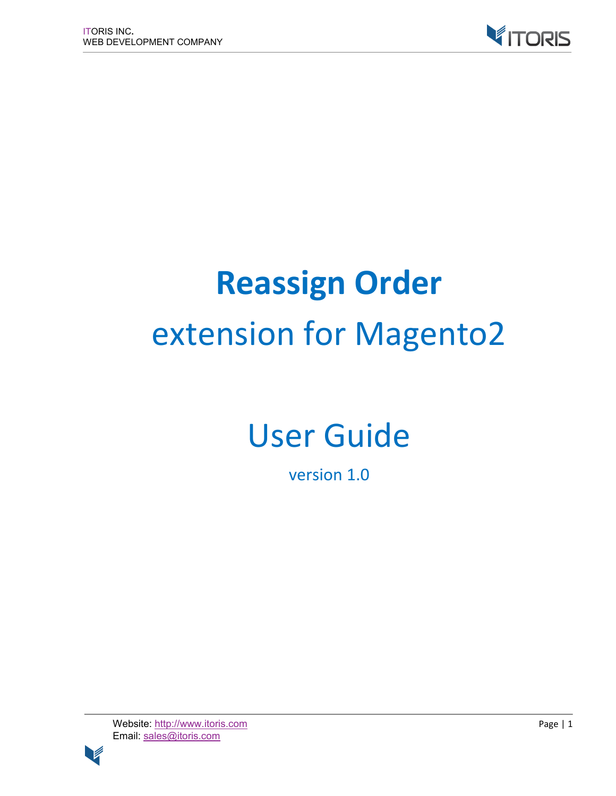

# **Reassign Order** extension for Magento2

# User Guide

version 1.0

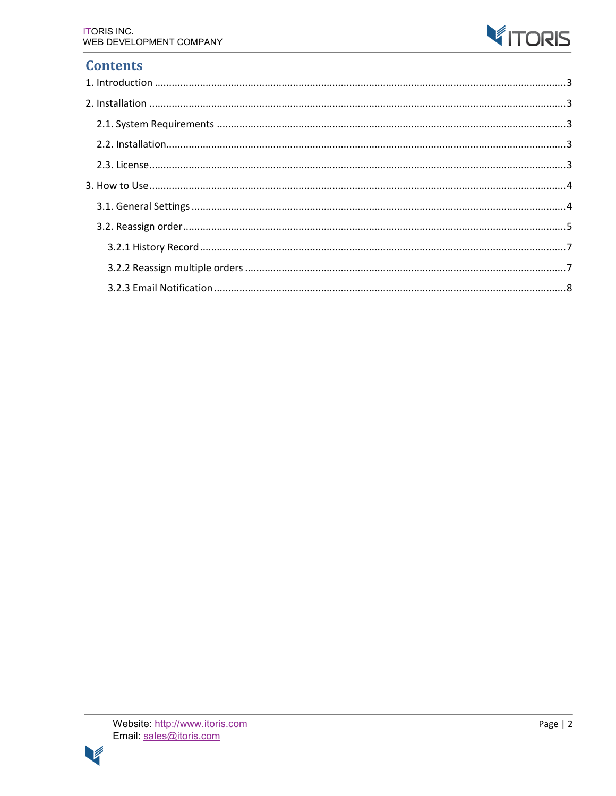

# **Contents**

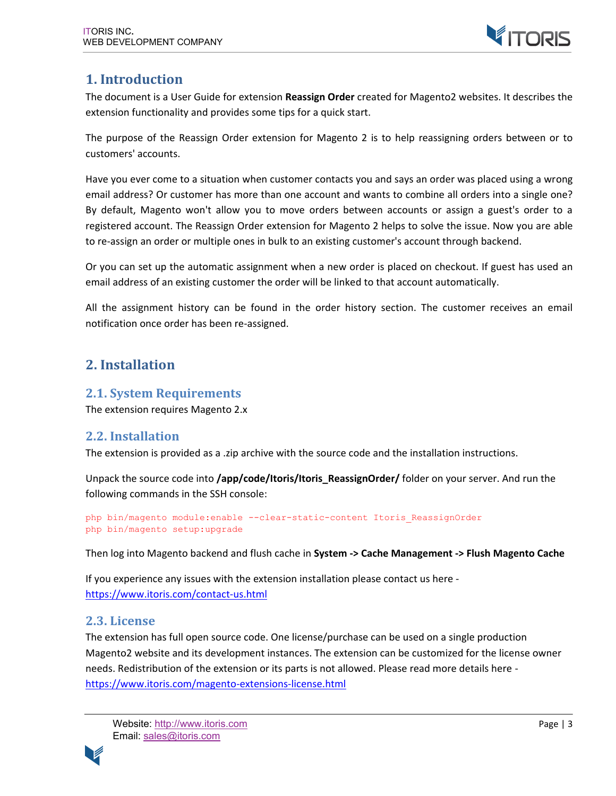

### **1. Introduction**

The document is a User Guide for extension **Reassign Order** created for Magento2 websites. It describes the extension functionality and provides some tips for a quick start.

The purpose of the Reassign Order extension for Magento 2 is to help reassigning orders between or to customers' accounts.

Have you ever come to a situation when customer contacts you and says an order was placed using a wrong email address? Or customer has more than one account and wants to combine all orders into a single one? By default, Magento won't allow you to move orders between accounts or assign a guest's order to a registered account. The Reassign Order extension for Magento 2 helps to solve the issue. Now you are able to re-assign an order or multiple ones in bulk to an existing customer's account through backend.

Or you can set up the automatic assignment when a new order is placed on checkout. If guest has used an email address of an existing customer the order will be linked to that account automatically.

All the assignment history can be found in the order history section. The customer receives an email notification once order has been re-assigned.

# **2. Installation**

#### **2.1. System Requirements**

The extension requires Magento 2.x

#### **2.2. Installation**

The extension is provided as a .zip archive with the source code and the installation instructions.

Unpack the source code into **/app/code/Itoris/Itoris\_ReassignOrder/** folder on your server. And run the following commands in the SSH console:

```
php bin/magento module:enable --clear-static-content Itoris_ReassignOrder
php bin/magento setup:upgrade
```
Then log into Magento backend and flush cache in **System -> Cache Management -> Flush Magento Cache**

If you experience any issues with the extension installation please contact us here https://www.itoris.com/contact-us.html

#### **2.3. License**

The extension has full open source code. One license/purchase can be used on a single production Magento2 website and its development instances. The extension can be customized for the license owner needs. Redistribution of the extension or its parts is not allowed. Please read more details here https://www.itoris.com/magento-extensions-license.html

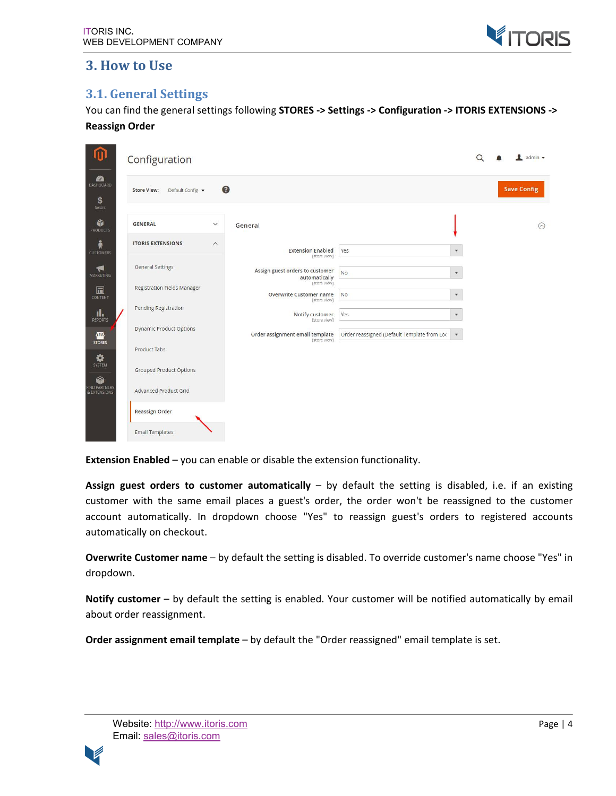

#### **3. How to Use**

#### **3.1. General Settings**

You can find the general settings following **STORES -> Settings -> Configuration -> ITORIS EXTENSIONS -> Reassign Order**

| ⋒                                     | Configuration                                       |                                                         |                                             |                           | admin v            |
|---------------------------------------|-----------------------------------------------------|---------------------------------------------------------|---------------------------------------------|---------------------------|--------------------|
| <b>20</b><br>DASHBOARD<br>\$<br>SALES | <b>Store View:</b><br>Default Config v              | $\bullet$                                               |                                             |                           | <b>Save Config</b> |
| Ŵ<br><b>PRODUCTS</b>                  | <b>GENERAL</b><br>$\checkmark$                      | General                                                 |                                             |                           | $\odot$            |
| Å<br><b>CUSTOMERS</b>                 | <b>ITORIS EXTENSIONS</b><br>$\widehat{\phantom{0}}$ | <b>Extension Enabled</b><br>[store view]                | Yes                                         | $\pmb{\mathrm{v}}$        |                    |
| <b>R</b><br><b>MARKETING</b>          | General Settings                                    | Assign guest orders to customer<br>automatically        | <b>No</b>                                   | $\boldsymbol{\mathrm{v}}$ |                    |
| 圖<br>CONTENT                          | Registration Fields Manager                         | [store view]<br>Overwrite Customer name<br>[store view] | <b>NO</b>                                   | $\pmb{\mathrm{v}}$        |                    |
| īl.<br>REPORTS                        | Pending Registration                                | Notify customer<br>[store view]                         | Yes                                         | $\pmb{\mathrm{v}}$        |                    |
| 伵<br><b>STORES</b>                    | <b>Dynamic Product Options</b>                      | Order assignment email template<br>[store view]         | Order reassigned (Default Template from Loc | $\boldsymbol{\mathrm{v}}$ |                    |
| ✿<br>SYSTEM                           | Product Tabs                                        |                                                         |                                             |                           |                    |
| 6                                     | Grouped Product Options                             |                                                         |                                             |                           |                    |
| FIND PARTNERS<br>& EXTENSIONS         | Advanced Product Grid                               |                                                         |                                             |                           |                    |
|                                       | Reassign Order<br><b>Email Templates</b>            |                                                         |                                             |                           |                    |

**Extension Enabled** – you can enable or disable the extension functionality.

**Assign guest orders to customer automatically** – by default the setting is disabled, i.e. if an existing customer with the same email places a guest's order, the order won't be reassigned to the customer account automatically. In dropdown choose "Yes" to reassign guest's orders to registered accounts automatically on checkout.

**Overwrite Customer name** – by default the setting is disabled. To override customer's name choose "Yes" in dropdown.

**Notify customer** – by default the setting is enabled. Your customer will be notified automatically by email about order reassignment.

**Order assignment email template** – by default the "Order reassigned" email template is set.

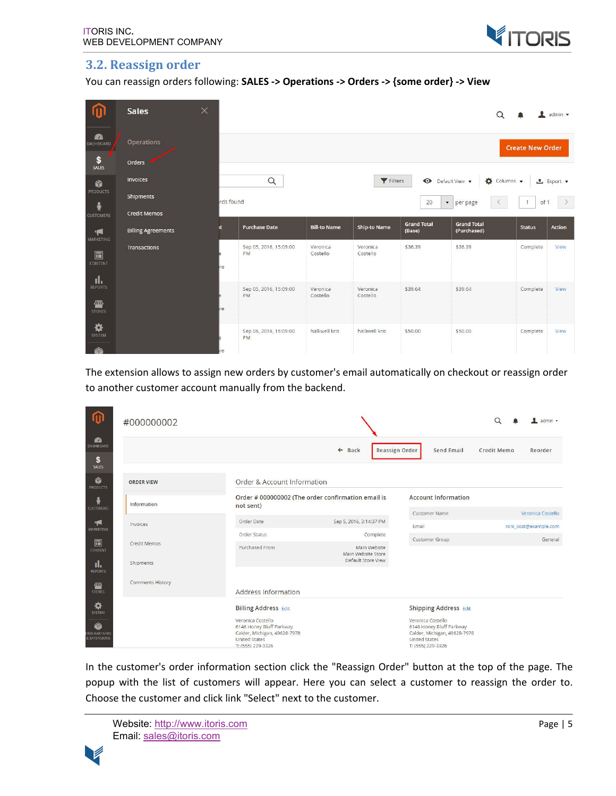

#### **3.2. Reassign order**

You can reassign orders following: **SALES -> Operations -> Orders -> {some order} -> View**

| 价                                        | <b>Sales</b>              | $\times$  |                                     |                      |                      |                    | $\alpha$                                      |                         | $\blacksquare$ admin $\blacktriangledown$ |
|------------------------------------------|---------------------------|-----------|-------------------------------------|----------------------|----------------------|--------------------|-----------------------------------------------|-------------------------|-------------------------------------------|
| <b>fa</b><br>DASHBOARD                   | Operations                |           |                                     |                      |                      |                    |                                               | <b>Create New Order</b> |                                           |
| $\frac{\mathsf{S}}{\mathsf{SALES}}$      | <b>Orders</b>             |           |                                     |                      |                      |                    |                                               |                         |                                           |
| Ŵ                                        | <b>Invoices</b>           |           | $\hbox{\tt Q}$                      |                      | Filters              |                    | Default View .<br>$\bullet$ Columns $\bullet$ |                         | $\triangle$ Export $\blacktriangledown$   |
| PRODUCTS<br>帝                            | Shipments                 | rds found |                                     |                      |                      | 20                 | per page<br>$\blacktriangledown$<br>$\leq$    | of 1<br>1               | $\rightarrow$                             |
| <b>CUSTOMERS</b>                         | <b>Credit Memos</b>       |           |                                     |                      |                      | <b>Grand Total</b> | <b>Grand Total</b>                            |                         |                                           |
| $\blacktriangledown$<br><b>MARKETING</b> | <b>Billing Agreements</b> | ñt.       | <b>Purchase Date</b>                | <b>Bill-to Name</b>  | <b>Ship-to Name</b>  | (Base)             | (Purchased)                                   | <b>Status</b>           | <b>Action</b>                             |
| $\square$<br>CONTENT                     | Transactions              | re        | Sep 05, 2016, 15:09:00<br><b>PM</b> | Veronica<br>Costello | Veronica<br>Costello | \$36.39            | \$36.39                                       | Complete                | View                                      |
| ıl.<br><b>REPORTS</b><br>▥               |                           |           | Sep 05, 2016, 15:09:00<br><b>PM</b> | Veronica<br>Costello | Veronica<br>Costello | \$39.64            | \$39.64                                       | Complete                | View                                      |
| <b>STORES</b><br>✿                       |                           | re        | Sep 06, 2016, 15:09:00              | halliwell kris       | halliwell kris       | \$50.00            | \$50,00                                       | Complete                | View                                      |
| <b>SYSTEM</b><br>é.                      |                           | re        | PM                                  |                      |                      |                    |                                               |                         |                                           |

The extension allows to assign new orders by customer's email automatically on checkout or reassign order to another customer account manually from the backend.

| 伽                                                        | #000000002                |                                                                                                                                                           |                                                                      |                                                                                                                                                            | Q           | $\blacksquare$ admin $\blacktriangleright$ |
|----------------------------------------------------------|---------------------------|-----------------------------------------------------------------------------------------------------------------------------------------------------------|----------------------------------------------------------------------|------------------------------------------------------------------------------------------------------------------------------------------------------------|-------------|--------------------------------------------|
| <b>B</b><br><b>DASHBOARD</b><br>\$<br><b>SALES</b>       |                           |                                                                                                                                                           | <b>Reassign Order</b><br>← Back                                      | Send Email                                                                                                                                                 | Credit Memo | Reorder                                    |
| ŵ<br>PRODUCTS                                            | <b>ORDER VIEW</b>         | Order & Account Information                                                                                                                               |                                                                      |                                                                                                                                                            |             |                                            |
| 츆<br><b>CUSTOMERS</b>                                    | Information               | not sent)                                                                                                                                                 | Order # 000000002 (The order confirmation email is                   | <b>Account Information</b><br>Customer Name                                                                                                                |             | Veronica Costello                          |
| <b>R</b><br>MARKETING                                    | Invoices                  | Order Date                                                                                                                                                | Sep 5, 2016, 3:14:37 PM                                              | Email                                                                                                                                                      |             | roni cost@example.com                      |
| $\Box$<br>CONTENT                                        | Credit Memos<br>Shipments | Order Status<br>Purchased From                                                                                                                            | Complete<br>Main Website<br>Main Website Store<br>Default Store View | Customer Group                                                                                                                                             |             | General                                    |
| ıl.<br><b>REPORTS</b><br>▥<br><b>STORES</b>              | <b>Comments History</b>   | Address Information                                                                                                                                       |                                                                      |                                                                                                                                                            |             |                                            |
| ✿<br>SYSTEM<br>Ġ<br><b>FIND PARTNERS</b><br>& EXTENSIONS |                           | <b>Billing Address Edit</b><br>Veronica Costello<br>6146 Honey Bluff Parkway<br>Calder, Michigan, 49628-7978<br><b>United States</b><br>T: (555) 229-3326 |                                                                      | <b>Shipping Address Edit</b><br>Veronica Costello<br>6146 Honey Bluff Parkway<br>Calder, Michigan, 49628-7978<br><b>United States</b><br>T: (555) 229-3326 |             |                                            |

In the customer's order information section click the "Reassign Order" button at the top of the page. The popup with the list of customers will appear. Here you can select a customer to reassign the order to. Choose the customer and click link "Select" next to the customer.

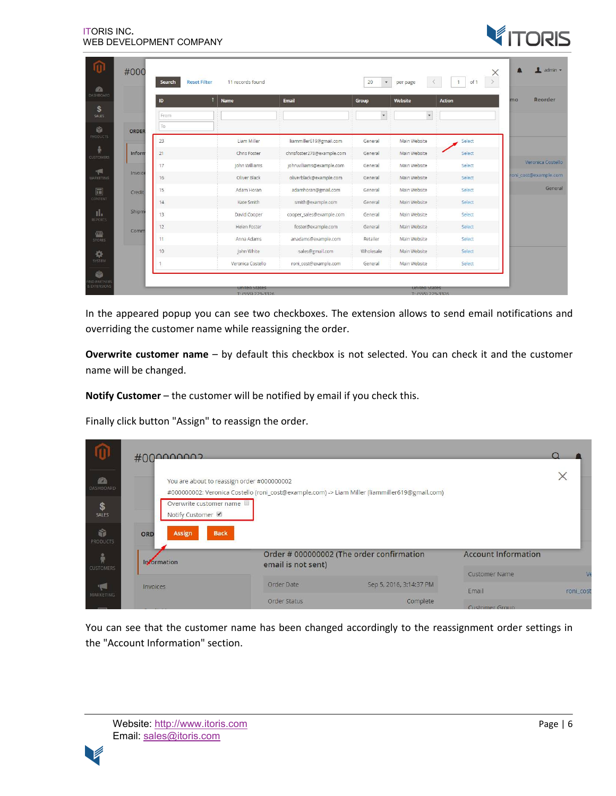

|         | <b>Reset Filter</b><br>Search | 11 records found    |                            | 20<br>$\mathbf{v}$ | per page     | of 1<br>$\blacksquare$ |                       |
|---------|-------------------------------|---------------------|----------------------------|--------------------|--------------|------------------------|-----------------------|
|         | ID                            | Name                | Email                      | Group              | Website      | Action                 | Reorder<br>mo         |
|         | From                          |                     |                            | $\dot{\mathbf{v}}$ | $\cdot$      |                        |                       |
| ORDER   | To                            |                     |                            |                    |              |                        |                       |
|         | 23                            | Liam Miller         | liammiller619@gmail.com    | General            | Main Website | Select                 |                       |
| Inform  | 21                            | Chris Foster        | chrisfoster278@example.com | General            | Main Website | Select                 |                       |
| Invoice | 17                            | John Williams       | johnwilliams@example.com   | General            | Main Website | Select                 | Veronica Costello     |
|         | 16                            | Oliver Black        | oliverblack@example.com    | General            | Main Website | Select                 | roni_cost@example.com |
| Credit  | 15                            | Adam Horan          | adamhoran@gmail.com        | General            | Main Website | Select                 | General               |
|         | 14                            | Kate Smith          | smith@example.com          | General            | Main Website | Select                 |                       |
| Shipm   | 13                            | David Cooper        | cooper_sales@example.com   | General            | Main Website | Select                 |                       |
| Comm    | 12                            | <b>Helen Foster</b> | foster@example.com         | General            | Main Website | Select                 |                       |
|         | 11                            | Anna Adams          | anadams@example.com        | Retailer           | Main Website | Select                 |                       |
|         | 10                            | John White          | sales@gmail.com            | Wholesale          | Main Website | Select                 |                       |
|         |                               | Veronica Costello   | roni cost@example.com      | General            | Main Website | Select                 |                       |

In the appeared popup you can see two checkboxes. The extension allows to send email notifications and overriding the customer name while reassigning the order.

**Overwrite customer name** – by default this checkbox is not selected. You can check it and the customer name will be changed.

**Notify Customer** – the customer will be notified by email if you check this.

Finally click button "Assign" to reassign the order.

| æ.<br>DASHBOARD<br>\$             |          | $\#000000002$                             | You are about to reassign order #000000002<br>Overwrite customer name |                    | #000000002: Veronica Costello (roni_cost@example.com) -> Liam Miller (liammiller619@gmail.com) |                                                    | $\times$  |
|-----------------------------------|----------|-------------------------------------------|-----------------------------------------------------------------------|--------------------|------------------------------------------------------------------------------------------------|----------------------------------------------------|-----------|
| <b>SALES</b><br>命<br>PRODUCTS     | ORD      | Notify Customer <b>Ø</b><br><b>Assign</b> | <b>Back</b>                                                           |                    |                                                                                                |                                                    |           |
| $\frac{a}{N}$<br><b>CUSTOMERS</b> |          | <b>Information</b>                        |                                                                       | email is not sent) | Order # 000000002 (The order confirmation                                                      | <b>Account Information</b><br><b>Customer Name</b> |           |
| ●<br>MARKETING                    | Invoices |                                           |                                                                       | Order Date         | Sep 5, 2016, 3:14:37 PM                                                                        | Email                                              | roni_cost |
|                                   |          |                                           |                                                                       | Order Status       | Complete                                                                                       | <b>Customer Group</b>                              |           |

You can see that the customer name has been changed accordingly to the reassignment order settings in the "Account Information" section.

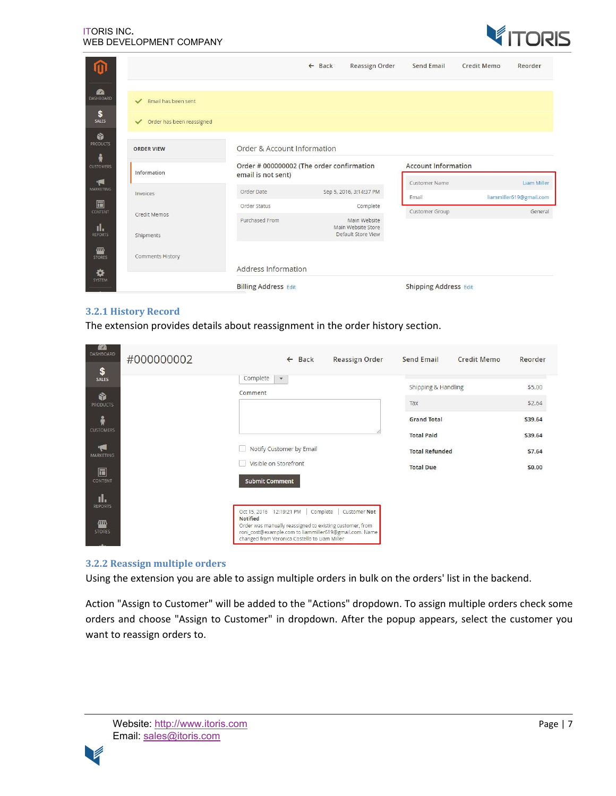

|                               |                                           |                                                                 | $\leftarrow$ Back | <b>Reassign Order</b>                                    | <b>Send Email</b>             | <b>Credit Memo</b> | Reorder                                |
|-------------------------------|-------------------------------------------|-----------------------------------------------------------------|-------------------|----------------------------------------------------------|-------------------------------|--------------------|----------------------------------------|
| <b>RA</b><br><b>DASHBOARD</b> | Email has been sent<br>$\checkmark$       |                                                                 |                   |                                                          |                               |                    |                                        |
| \$<br>SALES                   | Order has been reassigned<br>$\checkmark$ |                                                                 |                   |                                                          |                               |                    |                                        |
| ñ<br>PRODUCTS<br>Å            | <b>ORDER VIEW</b>                         | Order & Account Information                                     |                   |                                                          |                               |                    |                                        |
| <b>CUSTOMERS</b>              | Information                               | Order # 000000002 (The order confirmation<br>email is not sent) |                   |                                                          | <b>Account Information</b>    |                    |                                        |
| 同<br><b>MARKETING</b>         | Invoices                                  | Order Date                                                      |                   | Sep 5, 2016, 3:14:37 PM                                  | <b>Customer Name</b><br>Email |                    | Liam Miller<br>liammiller619@gmail.com |
| 圖<br>CONTENT                  | Credit Memos                              | Order Status                                                    |                   | Complete                                                 | Customer Group                |                    | General                                |
| ıl.<br><b>REPORTS</b>         | Shipments                                 | Purchased From                                                  |                   | Main Website<br>Main Website Store<br>Default Store View |                               |                    |                                        |
| 四<br><b>STORES</b>            | <b>Comments History</b>                   | Address Information                                             |                   |                                                          |                               |                    |                                        |
| ✿<br>SYSTEM                   |                                           | <b>Billing Address Edit</b>                                     |                   |                                                          | <b>Shipping Address Edit</b>  |                    |                                        |

#### **3.2.1 History Record**

The extension provides details about reassignment in the order history section.

| Complete<br>$\mathbf{v}$<br><b>SALES</b><br>\$5.00<br>Shipping & Handling<br>Comment<br>ŵ<br>\$2.64<br>Tax<br><b>PRODUCTS</b><br>Å<br><b>Grand Total</b><br>\$39.64<br><b>CUSTOMERS</b><br><b>Total Paid</b><br>\$39.64<br>'N<br>Notify Customer by Email<br><b>Total Refunded</b><br>\$7.64<br><b>MARKETING</b><br>Visible on Storefront<br>\$0.00<br><b>Total Due</b><br>同<br><b>Submit Comment</b><br><b>CONTENT</b><br>ıl.<br><b>REPORTS</b><br>Oct 15, 2016 12:19:21 PM<br>Complete<br>Customer Not<br><b>Notified</b><br><b>AID</b><br>Order was manually reassigned to existing customer, from<br><b>STORES</b><br>roni_cost@example.com to liammiller619@gmail.com. Name<br>changed from Veronica Costello to Liam Miller | <b>CO</b><br>DASHBOARD<br>\$ | #000000002 | <b>Back</b><br>$\leftarrow$ | Reassign Order | <b>Send Email</b> | <b>Credit Memo</b> | Reorder |
|-----------------------------------------------------------------------------------------------------------------------------------------------------------------------------------------------------------------------------------------------------------------------------------------------------------------------------------------------------------------------------------------------------------------------------------------------------------------------------------------------------------------------------------------------------------------------------------------------------------------------------------------------------------------------------------------------------------------------------------|------------------------------|------------|-----------------------------|----------------|-------------------|--------------------|---------|
|                                                                                                                                                                                                                                                                                                                                                                                                                                                                                                                                                                                                                                                                                                                                   |                              |            |                             |                |                   |                    |         |
|                                                                                                                                                                                                                                                                                                                                                                                                                                                                                                                                                                                                                                                                                                                                   |                              |            |                             |                |                   |                    |         |
|                                                                                                                                                                                                                                                                                                                                                                                                                                                                                                                                                                                                                                                                                                                                   |                              |            |                             |                |                   |                    |         |
|                                                                                                                                                                                                                                                                                                                                                                                                                                                                                                                                                                                                                                                                                                                                   |                              |            |                             |                |                   |                    |         |
|                                                                                                                                                                                                                                                                                                                                                                                                                                                                                                                                                                                                                                                                                                                                   |                              |            |                             |                |                   |                    |         |
|                                                                                                                                                                                                                                                                                                                                                                                                                                                                                                                                                                                                                                                                                                                                   |                              |            |                             |                |                   |                    |         |
|                                                                                                                                                                                                                                                                                                                                                                                                                                                                                                                                                                                                                                                                                                                                   |                              |            |                             |                |                   |                    |         |
| <b>CONTRACTOR</b>                                                                                                                                                                                                                                                                                                                                                                                                                                                                                                                                                                                                                                                                                                                 |                              |            |                             |                |                   |                    |         |

#### **3.2.2 Reassign multiple orders**

Using the extension you are able to assign multiple orders in bulk on the orders' list in the backend.

Action "Assign to Customer" will be added to the "Actions" dropdown. To assign multiple orders check some orders and choose "Assign to Customer" in dropdown. After the popup appears, select the customer you want to reassign orders to.